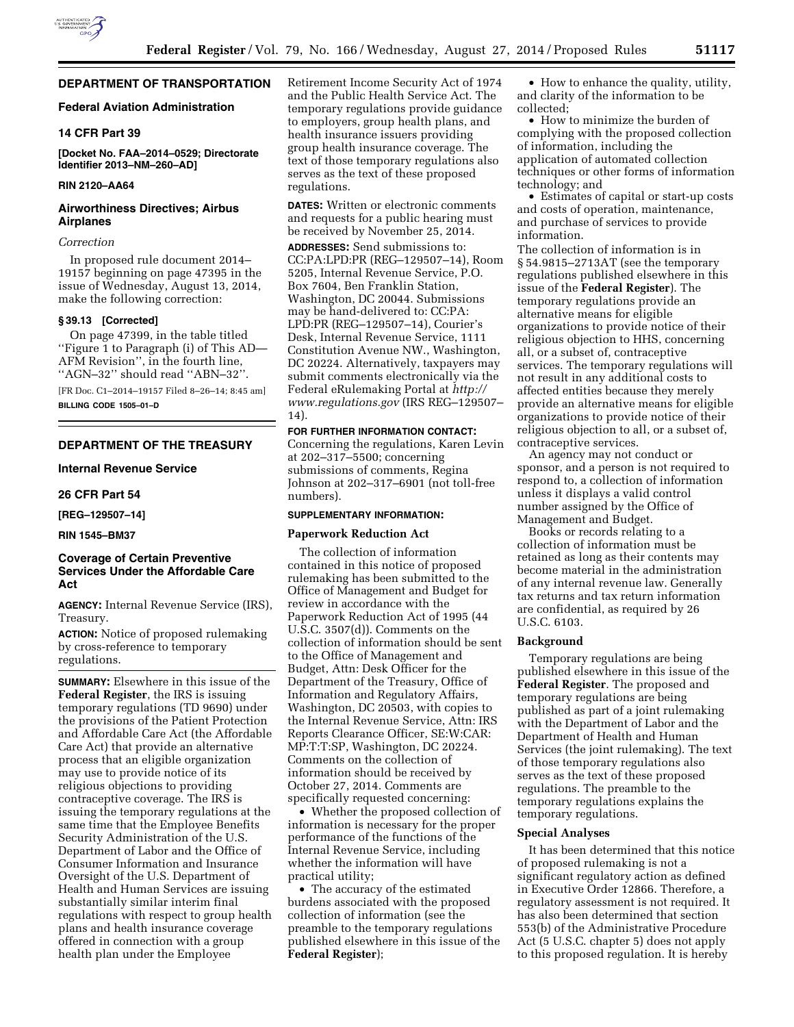

# **DEPARTMENT OF TRANSPORTATION**

# **Federal Aviation Administration**

# **14 CFR Part 39**

**[Docket No. FAA–2014–0529; Directorate Identifier 2013–NM–260–AD]** 

### **RIN 2120–AA64**

# **Airworthiness Directives; Airbus Airplanes**

### *Correction*

In proposed rule document 2014– 19157 beginning on page 47395 in the issue of Wednesday, August 13, 2014, make the following correction:

#### **§ 39.13 [Corrected]**

On page 47399, in the table titled ''Figure 1 to Paragraph (i) of This AD— AFM Revision'', in the fourth line, ''AGN–32'' should read ''ABN–32''.

[FR Doc. C1–2014–19157 Filed 8–26–14; 8:45 am] **BILLING CODE 1505–01–D** 

# **DEPARTMENT OF THE TREASURY**

# **Internal Revenue Service**

#### **26 CFR Part 54**

**[REG–129507–14]** 

### **RIN 1545–BM37**

# **Coverage of Certain Preventive Services Under the Affordable Care Act**

**AGENCY:** Internal Revenue Service (IRS), Treasury.

**ACTION:** Notice of proposed rulemaking by cross-reference to temporary regulations.

**SUMMARY:** Elsewhere in this issue of the **Federal Register**, the IRS is issuing temporary regulations (TD 9690) under the provisions of the Patient Protection and Affordable Care Act (the Affordable Care Act) that provide an alternative process that an eligible organization may use to provide notice of its religious objections to providing contraceptive coverage. The IRS is issuing the temporary regulations at the same time that the Employee Benefits Security Administration of the U.S. Department of Labor and the Office of Consumer Information and Insurance Oversight of the U.S. Department of Health and Human Services are issuing substantially similar interim final regulations with respect to group health plans and health insurance coverage offered in connection with a group health plan under the Employee

Retirement Income Security Act of 1974 and the Public Health Service Act. The temporary regulations provide guidance to employers, group health plans, and health insurance issuers providing group health insurance coverage. The text of those temporary regulations also serves as the text of these proposed regulations.

**DATES:** Written or electronic comments and requests for a public hearing must be received by November 25, 2014.

**ADDRESSES:** Send submissions to: CC:PA:LPD:PR (REG–129507–14), Room 5205, Internal Revenue Service, P.O. Box 7604, Ben Franklin Station, Washington, DC 20044. Submissions may be hand-delivered to: CC:PA: LPD:PR (REG–129507–14), Courier's Desk, Internal Revenue Service, 1111 Constitution Avenue NW., Washington, DC 20224. Alternatively, taxpayers may submit comments electronically via the Federal eRulemaking Portal at *[http://](http://www.regulations.gov) [www.regulations.gov](http://www.regulations.gov)* (IRS REG–129507– 14).

# **FOR FURTHER INFORMATION CONTACT:**

Concerning the regulations, Karen Levin at 202–317–5500; concerning submissions of comments, Regina Johnson at 202–317–6901 (not toll-free numbers).

#### **SUPPLEMENTARY INFORMATION:**

### **Paperwork Reduction Act**

The collection of information contained in this notice of proposed rulemaking has been submitted to the Office of Management and Budget for review in accordance with the Paperwork Reduction Act of 1995 (44 U.S.C. 3507(d)). Comments on the collection of information should be sent to the Office of Management and Budget, Attn: Desk Officer for the Department of the Treasury, Office of Information and Regulatory Affairs, Washington, DC 20503, with copies to the Internal Revenue Service, Attn: IRS Reports Clearance Officer, SE:W:CAR: MP:T:T:SP, Washington, DC 20224. Comments on the collection of information should be received by October 27, 2014. Comments are specifically requested concerning:

• Whether the proposed collection of information is necessary for the proper performance of the functions of the Internal Revenue Service, including whether the information will have practical utility;

• The accuracy of the estimated burdens associated with the proposed collection of information (see the preamble to the temporary regulations published elsewhere in this issue of the **Federal Register**);

• How to enhance the quality, utility, and clarity of the information to be collected;

• How to minimize the burden of complying with the proposed collection of information, including the application of automated collection techniques or other forms of information technology; and

• Estimates of capital or start-up costs and costs of operation, maintenance, and purchase of services to provide information.

The collection of information is in § 54.9815–2713AT (see the temporary regulations published elsewhere in this issue of the **Federal Register**). The temporary regulations provide an alternative means for eligible organizations to provide notice of their religious objection to HHS, concerning all, or a subset of, contraceptive services. The temporary regulations will not result in any additional costs to affected entities because they merely provide an alternative means for eligible organizations to provide notice of their religious objection to all, or a subset of, contraceptive services.

An agency may not conduct or sponsor, and a person is not required to respond to, a collection of information unless it displays a valid control number assigned by the Office of Management and Budget.

Books or records relating to a collection of information must be retained as long as their contents may become material in the administration of any internal revenue law. Generally tax returns and tax return information are confidential, as required by 26 U.S.C. 6103.

#### **Background**

Temporary regulations are being published elsewhere in this issue of the **Federal Register**. The proposed and temporary regulations are being published as part of a joint rulemaking with the Department of Labor and the Department of Health and Human Services (the joint rulemaking). The text of those temporary regulations also serves as the text of these proposed regulations. The preamble to the temporary regulations explains the temporary regulations.

# **Special Analyses**

It has been determined that this notice of proposed rulemaking is not a significant regulatory action as defined in Executive Order 12866. Therefore, a regulatory assessment is not required. It has also been determined that section 553(b) of the Administrative Procedure Act (5 U.S.C. chapter 5) does not apply to this proposed regulation. It is hereby